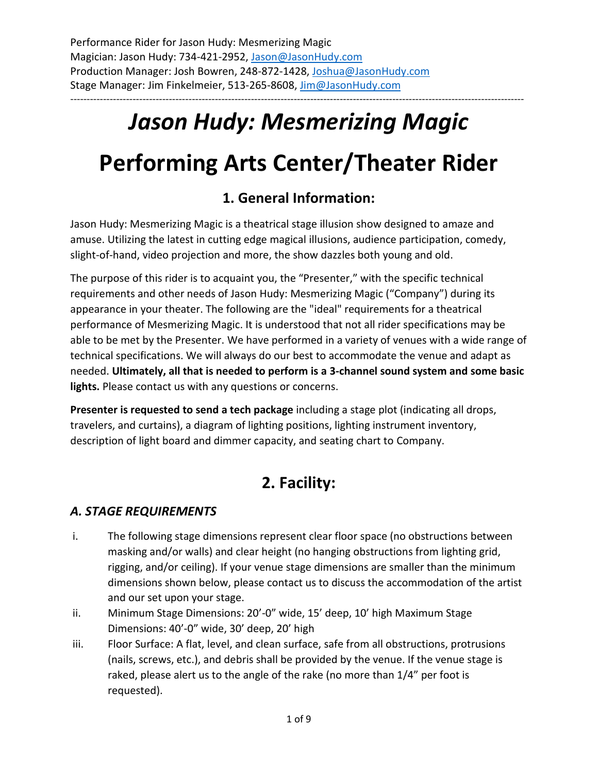# *Jason Hudy: Mesmerizing Magic*

------------------------------------------------------------------------------------------------------------------------------------------

# **Performing Arts Center/Theater Rider**

## **1. General Information:**

Jason Hudy: Mesmerizing Magic is a theatrical stage illusion show designed to amaze and amuse. Utilizing the latest in cutting edge magical illusions, audience participation, comedy, slight-of-hand, video projection and more, the show dazzles both young and old.

The purpose of this rider is to acquaint you, the "Presenter," with the specific technical requirements and other needs of Jason Hudy: Mesmerizing Magic ("Company") during its appearance in your theater. The following are the "ideal" requirements for a theatrical performance of Mesmerizing Magic. It is understood that not all rider specifications may be able to be met by the Presenter. We have performed in a variety of venues with a wide range of technical specifications. We will always do our best to accommodate the venue and adapt as needed. **Ultimately, all that is needed to perform is a 3-channel sound system and some basic lights.** Please contact us with any questions or concerns.

**Presenter is requested to send a tech package** including a stage plot (indicating all drops, travelers, and curtains), a diagram of lighting positions, lighting instrument inventory, description of light board and dimmer capacity, and seating chart to Company.

## **2. Facility:**

## *A. STAGE REQUIREMENTS*

- i. The following stage dimensions represent clear floor space (no obstructions between masking and/or walls) and clear height (no hanging obstructions from lighting grid, rigging, and/or ceiling). If your venue stage dimensions are smaller than the minimum dimensions shown below, please contact us to discuss the accommodation of the artist and our set upon your stage.
- ii. Minimum Stage Dimensions: 20'-0" wide, 15' deep, 10' high Maximum Stage Dimensions: 40'-0" wide, 30' deep, 20' high
- iii. Floor Surface: A flat, level, and clean surface, safe from all obstructions, protrusions (nails, screws, etc.), and debris shall be provided by the venue. If the venue stage is raked, please alert us to the angle of the rake (no more than 1/4" per foot is requested).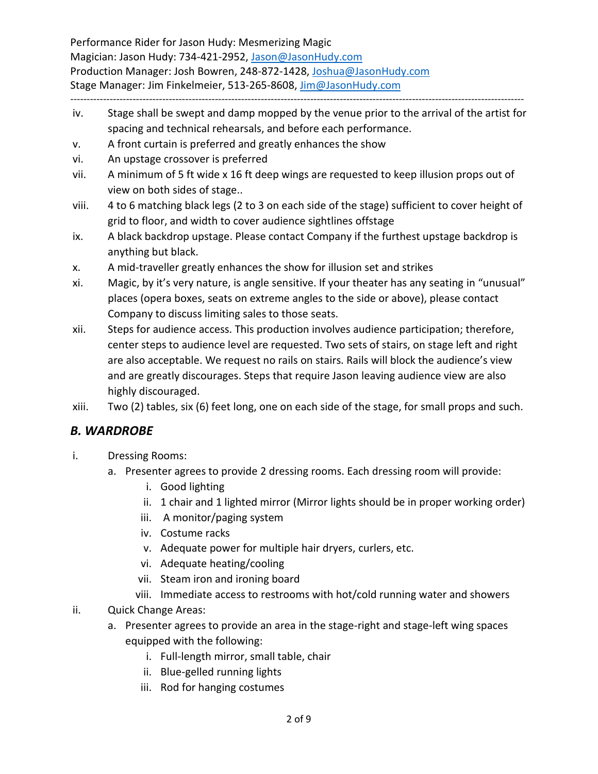------------------------------------------------------------------------------------------------------------------------------------------

- iv. Stage shall be swept and damp mopped by the venue prior to the arrival of the artist for spacing and technical rehearsals, and before each performance.
- v. A front curtain is preferred and greatly enhances the show
- vi. An upstage crossover is preferred
- vii. A minimum of 5 ft wide x 16 ft deep wings are requested to keep illusion props out of view on both sides of stage..
- viii. 4 to 6 matching black legs (2 to 3 on each side of the stage) sufficient to cover height of grid to floor, and width to cover audience sightlines offstage
- ix. A black backdrop upstage. Please contact Company if the furthest upstage backdrop is anything but black.
- x. A mid-traveller greatly enhances the show for illusion set and strikes
- xi. Magic, by it's very nature, is angle sensitive. If your theater has any seating in "unusual" places (opera boxes, seats on extreme angles to the side or above), please contact Company to discuss limiting sales to those seats.
- xii. Steps for audience access. This production involves audience participation; therefore, center steps to audience level are requested. Two sets of stairs, on stage left and right are also acceptable. We request no rails on stairs. Rails will block the audience's view and are greatly discourages. Steps that require Jason leaving audience view are also highly discouraged.

xiii. Two (2) tables, six (6) feet long, one on each side of the stage, for small props and such.

#### *B. WARDROBE*

- i. Dressing Rooms:
	- a. Presenter agrees to provide 2 dressing rooms. Each dressing room will provide:
		- i. Good lighting
		- ii. 1 chair and 1 lighted mirror (Mirror lights should be in proper working order)
		- iii. A monitor/paging system
		- iv. Costume racks
		- v. Adequate power for multiple hair dryers, curlers, etc.
		- vi. Adequate heating/cooling
		- vii. Steam iron and ironing board
		- viii. Immediate access to restrooms with hot/cold running water and showers
- ii. Quick Change Areas:
	- a. Presenter agrees to provide an area in the stage-right and stage-left wing spaces equipped with the following:
		- i. Full-length mirror, small table, chair
		- ii. Blue-gelled running lights
		- iii. Rod for hanging costumes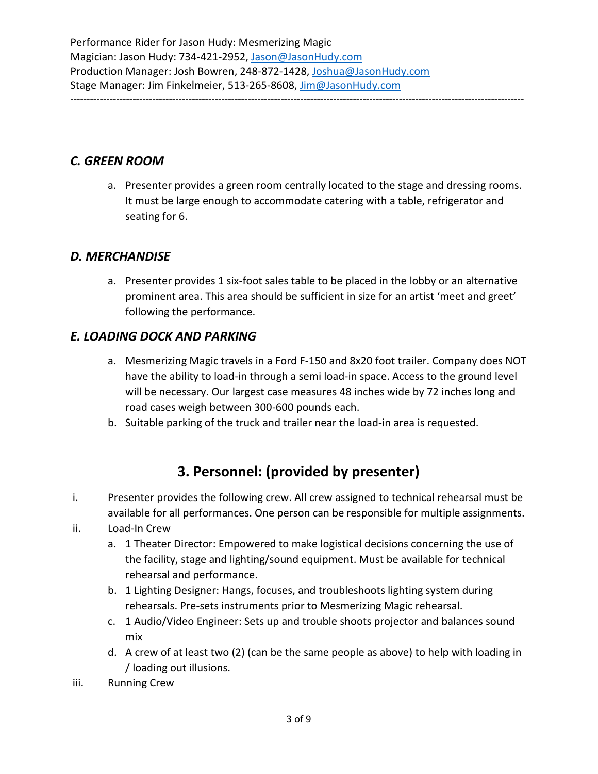#### *C. GREEN ROOM*

a. Presenter provides a green room centrally located to the stage and dressing rooms. It must be large enough to accommodate catering with a table, refrigerator and seating for 6.

#### *D. MERCHANDISE*

a. Presenter provides 1 six-foot sales table to be placed in the lobby or an alternative prominent area. This area should be sufficient in size for an artist 'meet and greet' following the performance.

### *E. LOADING DOCK AND PARKING*

- a. Mesmerizing Magic travels in a Ford F-150 and 8x20 foot trailer. Company does NOT have the ability to load-in through a semi load-in space. Access to the ground level will be necessary. Our largest case measures 48 inches wide by 72 inches long and road cases weigh between 300-600 pounds each.
- b. Suitable parking of the truck and trailer near the load-in area is requested.

## **3. Personnel: (provided by presenter)**

- i. Presenter provides the following crew. All crew assigned to technical rehearsal must be available for all performances. One person can be responsible for multiple assignments.
- ii. Load-In Crew
	- a. 1 Theater Director: Empowered to make logistical decisions concerning the use of the facility, stage and lighting/sound equipment. Must be available for technical rehearsal and performance.
	- b. 1 Lighting Designer: Hangs, focuses, and troubleshoots lighting system during rehearsals. Pre-sets instruments prior to Mesmerizing Magic rehearsal.
	- c. 1 Audio/Video Engineer: Sets up and trouble shoots projector and balances sound mix
	- d. A crew of at least two (2) (can be the same people as above) to help with loading in / loading out illusions.
- iii. Running Crew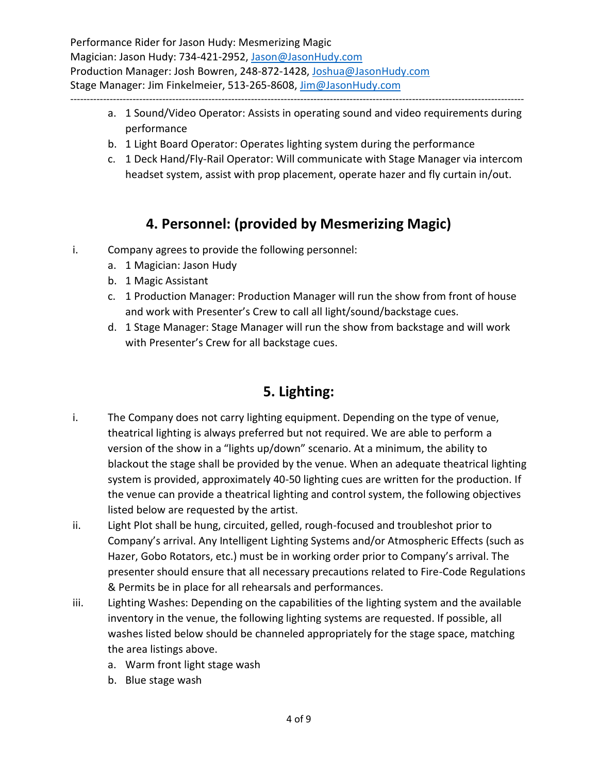------------------------------------------------------------------------------------------------------------------------------------------

- a. 1 Sound/Video Operator: Assists in operating sound and video requirements during performance
- b. 1 Light Board Operator: Operates lighting system during the performance
- c. 1 Deck Hand/Fly-Rail Operator: Will communicate with Stage Manager via intercom headset system, assist with prop placement, operate hazer and fly curtain in/out.

## **4. Personnel: (provided by Mesmerizing Magic)**

- i. Company agrees to provide the following personnel:
	- a. 1 Magician: Jason Hudy
	- b. 1 Magic Assistant
	- c. 1 Production Manager: Production Manager will run the show from front of house and work with Presenter's Crew to call all light/sound/backstage cues.
	- d. 1 Stage Manager: Stage Manager will run the show from backstage and will work with Presenter's Crew for all backstage cues.

## **5. Lighting:**

- i. The Company does not carry lighting equipment. Depending on the type of venue, theatrical lighting is always preferred but not required. We are able to perform a version of the show in a "lights up/down" scenario. At a minimum, the ability to blackout the stage shall be provided by the venue. When an adequate theatrical lighting system is provided, approximately 40-50 lighting cues are written for the production. If the venue can provide a theatrical lighting and control system, the following objectives listed below are requested by the artist.
- ii. Light Plot shall be hung, circuited, gelled, rough-focused and troubleshot prior to Company's arrival. Any Intelligent Lighting Systems and/or Atmospheric Effects (such as Hazer, Gobo Rotators, etc.) must be in working order prior to Company's arrival. The presenter should ensure that all necessary precautions related to Fire-Code Regulations & Permits be in place for all rehearsals and performances.
- iii. Lighting Washes: Depending on the capabilities of the lighting system and the available inventory in the venue, the following lighting systems are requested. If possible, all washes listed below should be channeled appropriately for the stage space, matching the area listings above.
	- a. Warm front light stage wash
	- b. Blue stage wash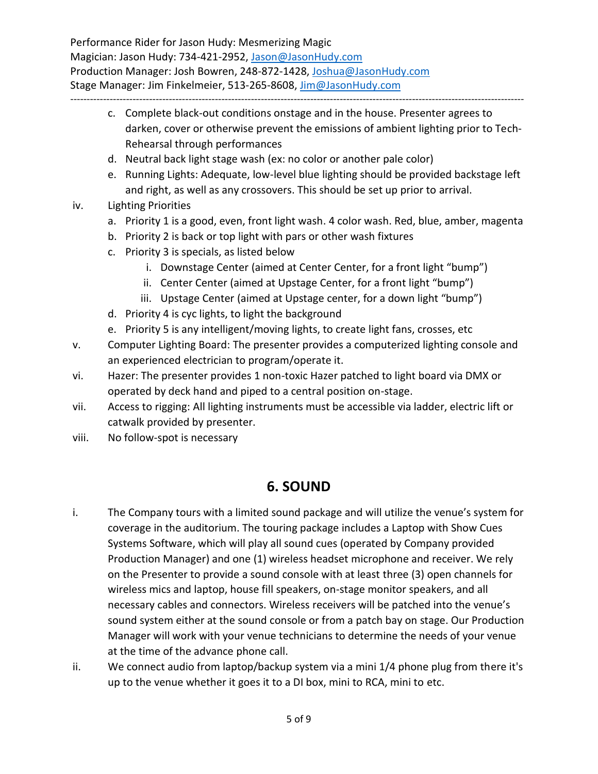------------------------------------------------------------------------------------------------------------------------------------------

- c. Complete black-out conditions onstage and in the house. Presenter agrees to darken, cover or otherwise prevent the emissions of ambient lighting prior to Tech-Rehearsal through performances
- d. Neutral back light stage wash (ex: no color or another pale color)
- e. Running Lights: Adequate, low-level blue lighting should be provided backstage left and right, as well as any crossovers. This should be set up prior to arrival.
- iv. Lighting Priorities
	- a. Priority 1 is a good, even, front light wash. 4 color wash. Red, blue, amber, magenta
	- b. Priority 2 is back or top light with pars or other wash fixtures
	- c. Priority 3 is specials, as listed below
		- i. Downstage Center (aimed at Center Center, for a front light "bump")
		- ii. Center Center (aimed at Upstage Center, for a front light "bump")
		- iii. Upstage Center (aimed at Upstage center, for a down light "bump")
	- d. Priority 4 is cyc lights, to light the background
	- e. Priority 5 is any intelligent/moving lights, to create light fans, crosses, etc
- v. Computer Lighting Board: The presenter provides a computerized lighting console and an experienced electrician to program/operate it.
- vi. Hazer: The presenter provides 1 non-toxic Hazer patched to light board via DMX or operated by deck hand and piped to a central position on-stage.
- vii. Access to rigging: All lighting instruments must be accessible via ladder, electric lift or catwalk provided by presenter.
- viii. No follow-spot is necessary

#### **6. SOUND**

- i. The Company tours with a limited sound package and will utilize the venue's system for coverage in the auditorium. The touring package includes a Laptop with Show Cues Systems Software, which will play all sound cues (operated by Company provided Production Manager) and one (1) wireless headset microphone and receiver. We rely on the Presenter to provide a sound console with at least three (3) open channels for wireless mics and laptop, house fill speakers, on-stage monitor speakers, and all necessary cables and connectors. Wireless receivers will be patched into the venue's sound system either at the sound console or from a patch bay on stage. Our Production Manager will work with your venue technicians to determine the needs of your venue at the time of the advance phone call.
- ii. We connect audio from laptop/backup system via a mini 1/4 phone plug from there it's up to the venue whether it goes it to a DI box, mini to RCA, mini to etc.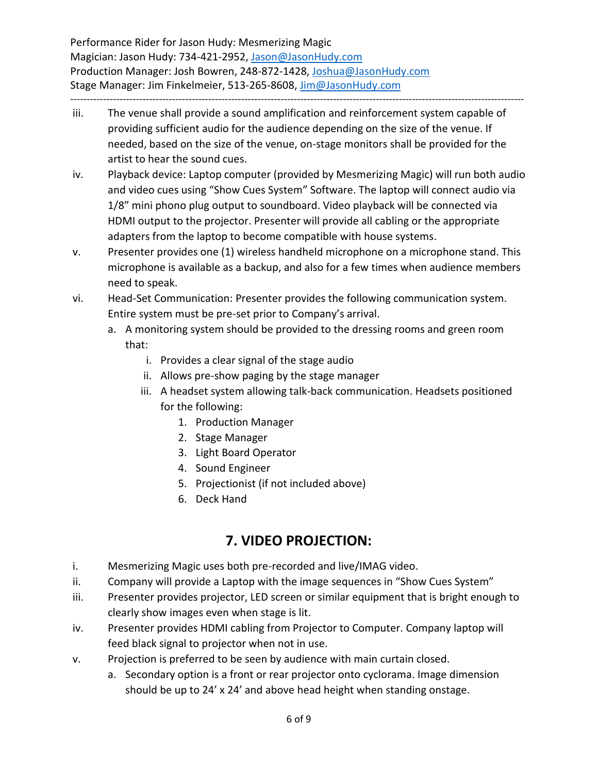Performance Rider for Jason Hudy: Mesmerizing Magic Magician: Jason Hudy: 734-421-2952, [Jason@JasonHudy.com](mailto:Jason@JasonHudy.com) Production Manager: Josh Bowren, 248-872-1428[, Joshua@JasonHudy.com](mailto:Joshua@JasonHudy.com) Stage Manager: Jim Finkelmeier, 513-265-8608, [Jim@JasonHudy.com](mailto:Jim@JasonHudy.com)

------------------------------------------------------------------------------------------------------------------------------------------

- iii. The venue shall provide a sound amplification and reinforcement system capable of providing sufficient audio for the audience depending on the size of the venue. If needed, based on the size of the venue, on-stage monitors shall be provided for the artist to hear the sound cues.
- iv. Playback device: Laptop computer (provided by Mesmerizing Magic) will run both audio and video cues using "Show Cues System" Software. The laptop will connect audio via 1/8" mini phono plug output to soundboard. Video playback will be connected via HDMI output to the projector. Presenter will provide all cabling or the appropriate adapters from the laptop to become compatible with house systems.
- v. Presenter provides one (1) wireless handheld microphone on a microphone stand. This microphone is available as a backup, and also for a few times when audience members need to speak.
- vi. Head-Set Communication: Presenter provides the following communication system. Entire system must be pre-set prior to Company's arrival.
	- a. A monitoring system should be provided to the dressing rooms and green room that:
		- i. Provides a clear signal of the stage audio
		- ii. Allows pre-show paging by the stage manager
		- iii. A headset system allowing talk-back communication. Headsets positioned for the following:
			- 1. Production Manager
			- 2. Stage Manager
			- 3. Light Board Operator
			- 4. Sound Engineer
			- 5. Projectionist (if not included above)
			- 6. Deck Hand

## **7. VIDEO PROJECTION:**

- i. Mesmerizing Magic uses both pre-recorded and live/IMAG video.
- ii. Company will provide a Laptop with the image sequences in "Show Cues System"
- iii. Presenter provides projector, LED screen or similar equipment that is bright enough to clearly show images even when stage is lit.
- iv. Presenter provides HDMI cabling from Projector to Computer. Company laptop will feed black signal to projector when not in use.
- v. Projection is preferred to be seen by audience with main curtain closed.
	- a. Secondary option is a front or rear projector onto cyclorama. Image dimension should be up to 24' x 24' and above head height when standing onstage.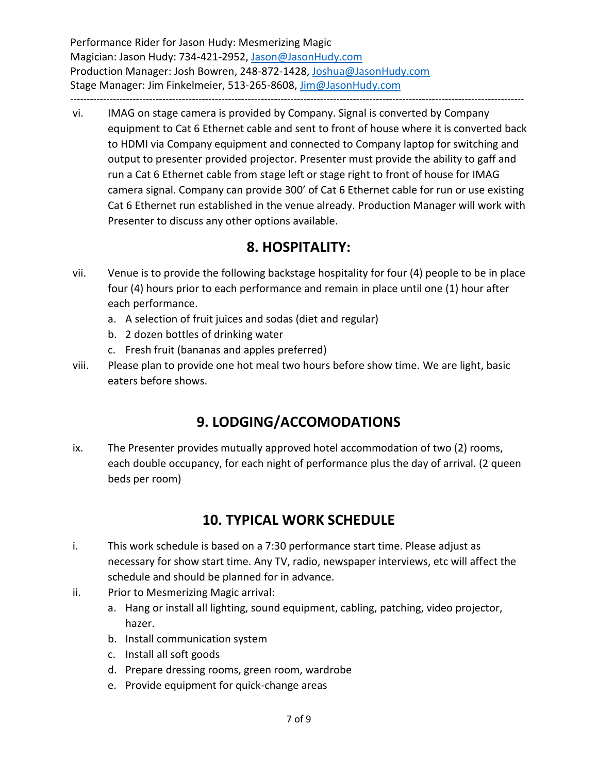------------------------------------------------------------------------------------------------------------------------------------------

vi. IMAG on stage camera is provided by Company. Signal is converted by Company equipment to Cat 6 Ethernet cable and sent to front of house where it is converted back to HDMI via Company equipment and connected to Company laptop for switching and output to presenter provided projector. Presenter must provide the ability to gaff and run a Cat 6 Ethernet cable from stage left or stage right to front of house for IMAG camera signal. Company can provide 300' of Cat 6 Ethernet cable for run or use existing Cat 6 Ethernet run established in the venue already. Production Manager will work with Presenter to discuss any other options available.

#### **8. HOSPITALITY:**

- vii. Venue is to provide the following backstage hospitality for four (4) people to be in place four (4) hours prior to each performance and remain in place until one (1) hour after each performance.
	- a. A selection of fruit juices and sodas (diet and regular)
	- b. 2 dozen bottles of drinking water
	- c. Fresh fruit (bananas and apples preferred)
- viii. Please plan to provide one hot meal two hours before show time. We are light, basic eaters before shows.

## **9. LODGING/ACCOMODATIONS**

ix. The Presenter provides mutually approved hotel accommodation of two (2) rooms, each double occupancy, for each night of performance plus the day of arrival. (2 queen beds per room)

## **10. TYPICAL WORK SCHEDULE**

- i. This work schedule is based on a 7:30 performance start time. Please adjust as necessary for show start time. Any TV, radio, newspaper interviews, etc will affect the schedule and should be planned for in advance.
- ii. Prior to Mesmerizing Magic arrival:
	- a. Hang or install all lighting, sound equipment, cabling, patching, video projector, hazer.
	- b. Install communication system
	- c. Install all soft goods
	- d. Prepare dressing rooms, green room, wardrobe
	- e. Provide equipment for quick-change areas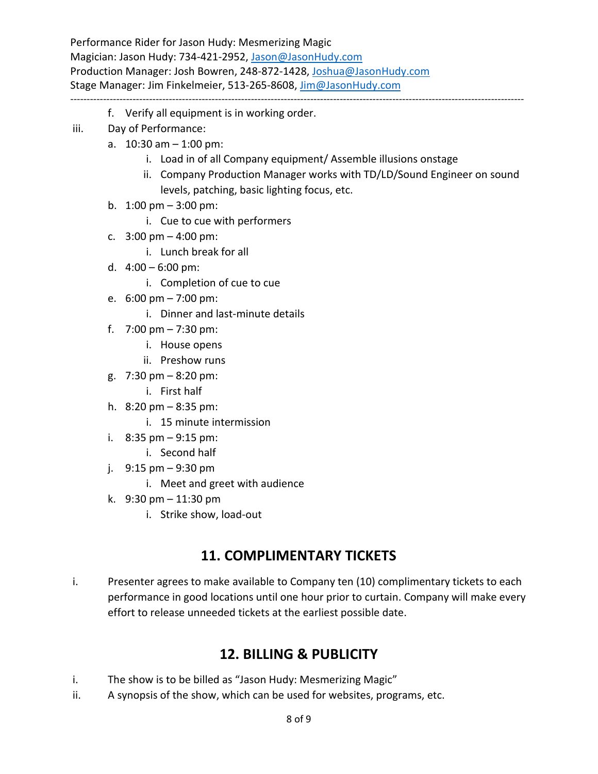Performance Rider for Jason Hudy: Mesmerizing Magic Magician: Jason Hudy: 734-421-2952, [Jason@JasonHudy.com](mailto:Jason@JasonHudy.com) Production Manager: Josh Bowren, 248-872-1428[, Joshua@JasonHudy.com](mailto:Joshua@JasonHudy.com) Stage Manager: Jim Finkelmeier, 513-265-8608, [Jim@JasonHudy.com](mailto:Jim@JasonHudy.com) ------------------------------------------------------------------------------------------------------------------------------------------

- f. Verify all equipment is in working order.
- iii. Day of Performance:
	- a.  $10:30$  am  $-1:00$  pm:
		- i. Load in of all Company equipment/ Assemble illusions onstage
		- ii. Company Production Manager works with TD/LD/Sound Engineer on sound levels, patching, basic lighting focus, etc.
	- b.  $1:00 \text{ pm} 3:00 \text{ pm}$ 
		- i. Cue to cue with performers
	- c.  $3:00 \text{ pm} 4:00 \text{ pm}$ :
		- i. Lunch break for all
	- d.  $4:00 6:00 \text{ pm}$ :
		- i. Completion of cue to cue
	- e. 6:00 pm 7:00 pm:
		- i. Dinner and last-minute details
	- f. 7:00 pm 7:30 pm:
		- i. House opens
		- ii. Preshow runs
	- g. 7:30 pm 8:20 pm:
		- i. First half
	- h. 8:20 pm 8:35 pm:
		- i. 15 minute intermission
	- i. 8:35 pm 9:15 pm:
		- i. Second half
	- j. 9:15 pm 9:30 pm
		- i. Meet and greet with audience
	- k. 9:30 pm 11:30 pm
		- i. Strike show, load-out

## **11. COMPLIMENTARY TICKETS**

i. Presenter agrees to make available to Company ten (10) complimentary tickets to each performance in good locations until one hour prior to curtain. Company will make every effort to release unneeded tickets at the earliest possible date.

## **12. BILLING & PUBLICITY**

- i. The show is to be billed as "Jason Hudy: Mesmerizing Magic"
- ii. A synopsis of the show, which can be used for websites, programs, etc.